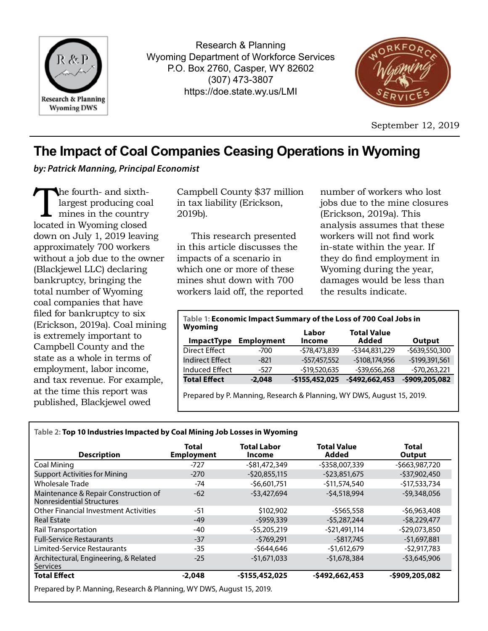

Research & Planning Wyoming Department of Workforce Services P.O. Box 2760, Casper, WY 82602 (307) 473-3807 https://doe.state.wy.us/LMI



September 12, 2019

# **The Impact of Coal Companies Ceasing Operations in Wyoming**

*by: Patrick Manning, Principal Economist*

The fourth- and sixth-<br>largest producing coar<br>mines in the country<br>located in Wyoming closed largest producing coal mines in the country located in Wyoming closed down on July 1, 2019 leaving approximately 700 workers without a job due to the owner (Blackjewel LLC) declaring bankruptcy, bringing the total number of Wyoming coal companies that have filed for bankruptcy to six (Erickson, 2019a). Coal mining is extremely important to Campbell County and the state as a whole in terms of employment, labor income, and tax revenue. For example, at the time this report was published, Blackjewel owed

Campbell County \$37 million in tax liability (Erickson, 2019b).

This research presented in this article discusses the impacts of a scenario in which one or more of these mines shut down with 700 workers laid off, the reported

number of workers who lost jobs due to the mine closures (Erickson, 2019a). This analysis assumes that these workers will not find work in-state within the year. If they do find employment in Wyoming during the year, damages would be less than the results indicate.

| Table 1: Economic Impact Summary of the Loss of 700 Coal Jobs in<br>Wyoming |                   |                        |                             |                |  |  |  |  |
|-----------------------------------------------------------------------------|-------------------|------------------------|-----------------------------|----------------|--|--|--|--|
| <b>ImpactType</b>                                                           | <b>Employment</b> | Labor<br><b>Income</b> | <b>Total Value</b><br>Added | Output         |  |  |  |  |
| Direct Effect                                                               | $-700$            | $-578,473,839$         | $-5344,831,229$             | -\$639,550,300 |  |  |  |  |
| <b>Indirect Effect</b>                                                      | $-821$            | $-557,457,552$         | $-5108,174,956$             | -\$199,391,561 |  |  |  |  |
| <b>Induced Effect</b>                                                       | $-527$            | $-$19,520,635$         | $-539,656,268$              | $-570,263,221$ |  |  |  |  |
| <b>Total Effect</b>                                                         | $-2.048$          | $-$155,452,025$        | $-5492,662,453$             | -\$909,205,082 |  |  |  |  |
| Prepared by P. Manning, Research & Planning, WY DWS, August 15, 2019.       |                   |                        |                             |                |  |  |  |  |

## **Table 2: Top 10 Industries Impacted by Coal Mining Job Losses in Wyoming**

| <b>Description</b>                                                | Total<br><b>Employment</b> | <b>Total Labor</b><br>Income | <b>Total Value</b><br>Added | Total<br>Output |  |
|-------------------------------------------------------------------|----------------------------|------------------------------|-----------------------------|-----------------|--|
| Coal Mining                                                       | $-727$                     | -\$81,472,349                | -\$358,007,339              | -\$663,987,720  |  |
| <b>Support Activities for Mining</b>                              | $-270$                     | $-520,855,115$               | $-523,851,675$              | $-537,902,450$  |  |
| <b>Wholesale Trade</b>                                            | -74                        | $-56.601.751$                | $-511.574.540$              | -\$17,533,734   |  |
| Maintenance & Repair Construction of<br>Nonresidential Structures | $-62$                      | $-53,427,694$                | $-54,518,994$               | $-$ \$9,348,056 |  |
| <b>Other Financial Investment Activities</b>                      | $-51$                      | \$102,902                    | $-5565.558$                 | $-56,963,408$   |  |
| <b>Real Estate</b>                                                | $-49$                      | $-5959.339$                  | $-55.287.244$               | $-58,229,477$   |  |
| <b>Rail Transportation</b>                                        | $-40$                      | $-55,205,219$                | $-521.491.114$              | $-529,073,850$  |  |
| <b>Full-Service Restaurants</b>                                   | $-37$                      | $-5769.291$                  | $-$ \$817,745               | $-$1,697,881$   |  |
| Limited-Service Restaurants                                       | $-35$                      | -\$644.646                   | $-51.612.679$               | $-52,917,783$   |  |
| Architectural, Engineering, & Related<br><b>Services</b>          | $-25$                      | $-$1,671,033$                | $-$1,678,384$               | $-53,645,906$   |  |
| <b>Total Effect</b>                                               | $-2,048$                   | $-$155,452,025$              | $-$492,662,453$             | -\$909,205,082  |  |

Prepared by P. Manning, Research & Planning, WY DWS, August 15, 2019.